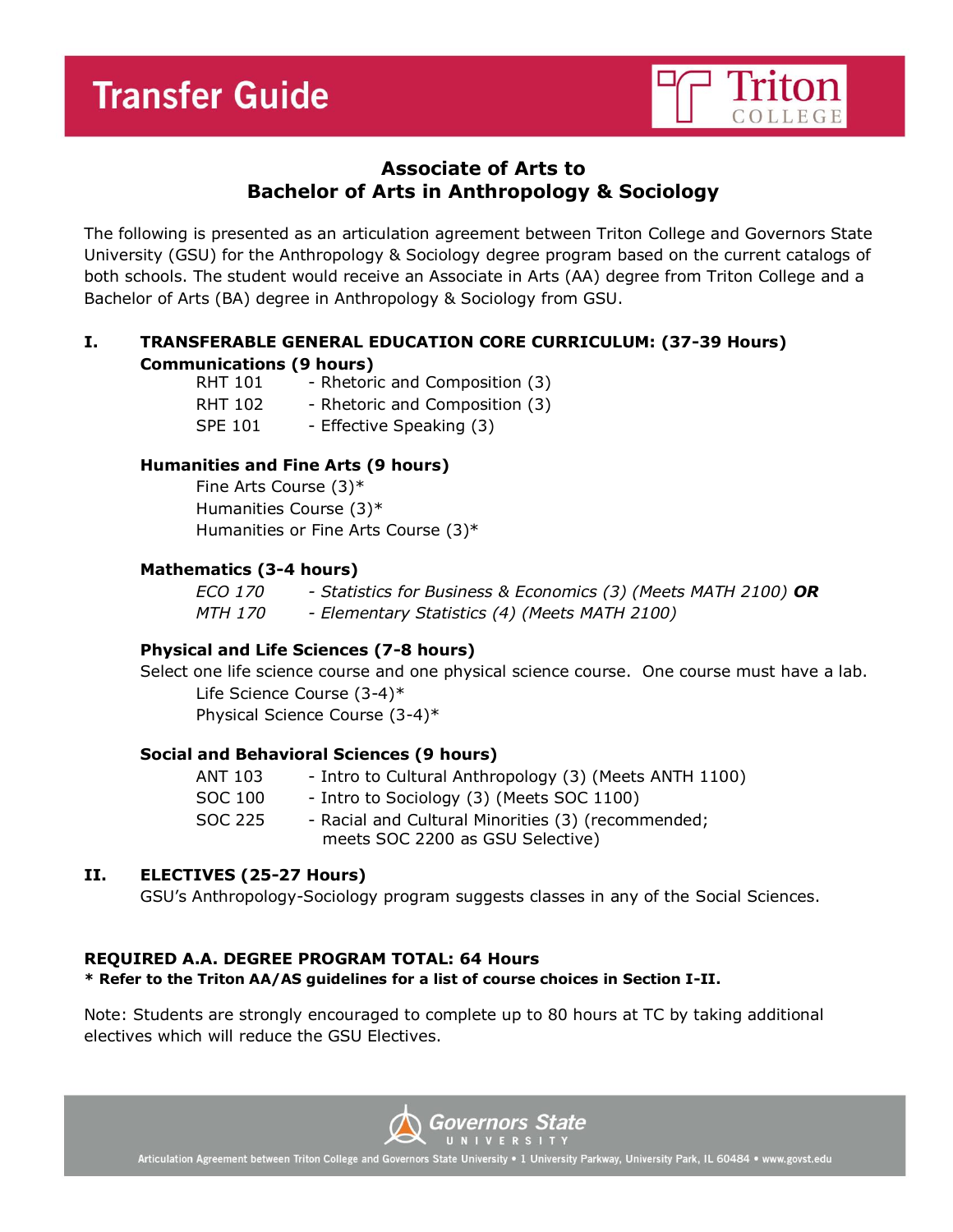

# **Associate of Arts to Bachelor of Arts in Anthropology & Sociology**

The following is presented as an articulation agreement between Triton College and Governors State University (GSU) for the Anthropology & Sociology degree program based on the current catalogs of both schools. The student would receive an Associate in Arts (AA) degree from Triton College and a Bachelor of Arts (BA) degree in Anthropology & Sociology from GSU.

## **I. TRANSFERABLE GENERAL EDUCATION CORE CURRICULUM: (37-39 Hours) Communications (9 hours)**

| <b>RHT 101</b> | - Rhetoric and Composition (3) |
|----------------|--------------------------------|
| RHT 102        | - Rhetoric and Composition (3) |
| <b>SPE 101</b> | - Effective Speaking (3)       |

## **Humanities and Fine Arts (9 hours)**

Fine Arts Course (3)\* Humanities Course (3)\* Humanities or Fine Arts Course (3)\*

### **Mathematics (3-4 hours)**

*ECO 170 - Statistics for Business & Economics (3) (Meets MATH 2100) OR MTH 170 - Elementary Statistics (4) (Meets MATH 2100)*

### **Physical and Life Sciences (7-8 hours)**

Select one life science course and one physical science course. One course must have a lab. Life Science Course (3-4)\*

Physical Science Course (3-4)\*

### **Social and Behavioral Sciences (9 hours)**

| ANT 103 | - Intro to Cultural Anthropology (3) (Meets ANTH 1100) |
|---------|--------------------------------------------------------|
| SOC 100 | - Intro to Sociology (3) (Meets SOC 1100)              |
| SOC 225 | - Racial and Cultural Minorities (3) (recommended;     |
|         | meets SOC 2200 as GSU Selective)                       |

## **II. ELECTIVES (25-27 Hours)**

GSU's Anthropology-Sociology program suggests classes in any of the Social Sciences.

## **REQUIRED A.A. DEGREE PROGRAM TOTAL: 64 Hours**

**\* Refer to the Triton AA/AS guidelines for a list of course choices in Section I-II.**

Note: Students are strongly encouraged to complete up to 80 hours at TC by taking additional electives which will reduce the GSU Electives.



Articulation Agreement between Triton College and Governors State University . 1 University Parkway, University Park, IL 60484 . www.govst.edu